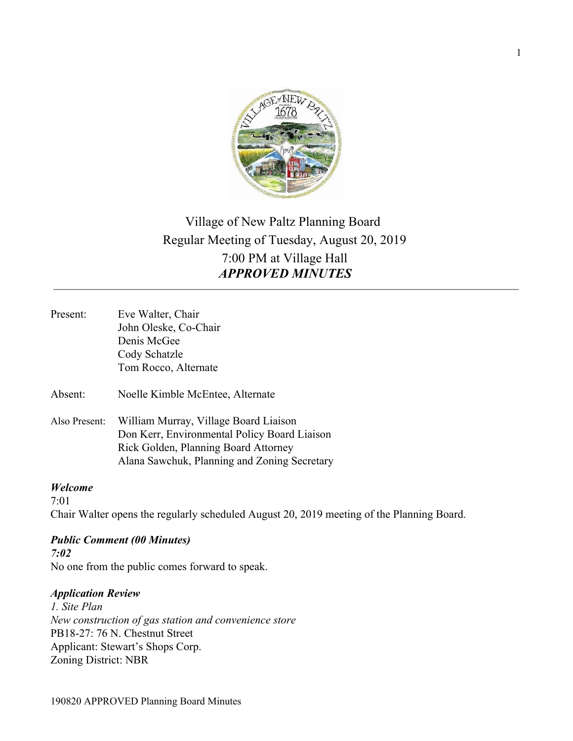

# Village of New Paltz Planning Board Regular Meeting of Tuesday, August 20, 2019 7:00 PM at Village Hall *APPROVED MINUTES*

| Present:      | Eve Walter, Chair<br>John Oleske, Co-Chair<br>Denis McGee<br>Cody Schatzle<br>Tom Rocco, Alternate                                                                            |
|---------------|-------------------------------------------------------------------------------------------------------------------------------------------------------------------------------|
| Absent:       | Noelle Kimble McEntee, Alternate                                                                                                                                              |
| Also Present: | William Murray, Village Board Liaison<br>Don Kerr, Environmental Policy Board Liaison<br>Rick Golden, Planning Board Attorney<br>Alana Sawchuk, Planning and Zoning Secretary |

*Welcome*

7:01 Chair Walter opens the regularly scheduled August 20, 2019 meeting of the Planning Board.

## *Public Comment (00 Minutes) 7:02* No one from the public comes forward to speak.

## *Application Review*

*1. Site Plan New construction of gas station and convenience store* PB18-27: 76 N. Chestnut Street Applicant: Stewart's Shops Corp. Zoning District: NBR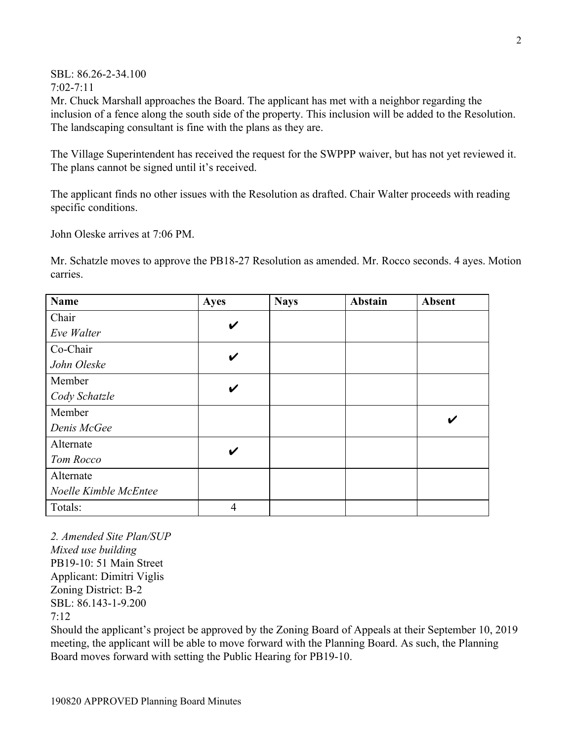SBL: 86.26-2-34.100 7:02-7:11

Mr. Chuck Marshall approaches the Board. The applicant has met with a neighbor regarding the inclusion of a fence along the south side of the property. This inclusion will be added to the Resolution. The landscaping consultant is fine with the plans as they are.

The Village Superintendent has received the request for the SWPPP waiver, but has not yet reviewed it. The plans cannot be signed until it's received.

The applicant finds no other issues with the Resolution as drafted. Chair Walter proceeds with reading specific conditions.

John Oleske arrives at 7:06 PM.

Mr. Schatzle moves to approve the PB18-27 Resolution as amended. Mr. Rocco seconds. 4 ayes. Motion carries.

| <b>Name</b>           | <b>Ayes</b>    | <b>Nays</b> | <b>Abstain</b> | Absent |
|-----------------------|----------------|-------------|----------------|--------|
| Chair                 | V              |             |                |        |
| Eve Walter            |                |             |                |        |
| Co-Chair              | V              |             |                |        |
| John Oleske           |                |             |                |        |
| Member                | V              |             |                |        |
| Cody Schatzle         |                |             |                |        |
| Member                |                |             |                | V      |
| Denis McGee           |                |             |                |        |
| Alternate             | V              |             |                |        |
| Tom Rocco             |                |             |                |        |
| Alternate             |                |             |                |        |
| Noelle Kimble McEntee |                |             |                |        |
| Totals:               | $\overline{4}$ |             |                |        |

*2. Amended Site Plan/SUP Mixed use building* PB19-10: 51 Main Street Applicant: Dimitri Viglis Zoning District: B-2 SBL: 86.143-1-9.200 7:12

Should the applicant's project be approved by the Zoning Board of Appeals at their September 10, 2019 meeting, the applicant will be able to move forward with the Planning Board. As such, the Planning Board moves forward with setting the Public Hearing for PB19-10.